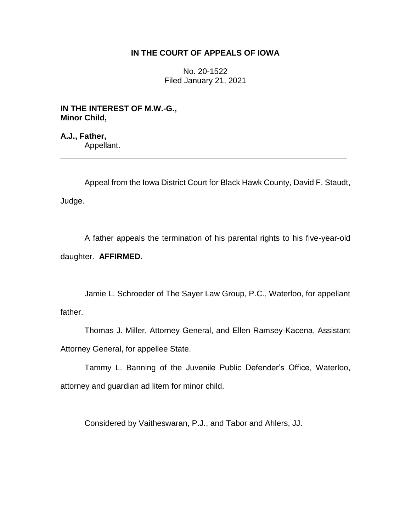# **IN THE COURT OF APPEALS OF IOWA**

No. 20-1522 Filed January 21, 2021

**IN THE INTEREST OF M.W.-G., Minor Child,**

**A.J., Father,** Appellant. \_\_\_\_\_\_\_\_\_\_\_\_\_\_\_\_\_\_\_\_\_\_\_\_\_\_\_\_\_\_\_\_\_\_\_\_\_\_\_\_\_\_\_\_\_\_\_\_\_\_\_\_\_\_\_\_\_\_\_\_\_\_\_\_

Appeal from the Iowa District Court for Black Hawk County, David F. Staudt, Judge.

A father appeals the termination of his parental rights to his five-year-old daughter. **AFFIRMED.**

Jamie L. Schroeder of The Sayer Law Group, P.C., Waterloo, for appellant father.

Thomas J. Miller, Attorney General, and Ellen Ramsey-Kacena, Assistant Attorney General, for appellee State.

Tammy L. Banning of the Juvenile Public Defender's Office, Waterloo, attorney and guardian ad litem for minor child.

Considered by Vaitheswaran, P.J., and Tabor and Ahlers, JJ.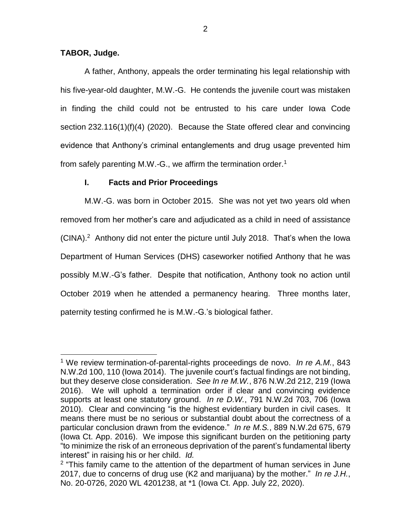# **TABOR, Judge.**

 $\overline{a}$ 

A father, Anthony, appeals the order terminating his legal relationship with his five-year-old daughter, M.W.-G. He contends the juvenile court was mistaken in finding the child could not be entrusted to his care under Iowa Code section 232.116(1)(f)(4) (2020). Because the State offered clear and convincing evidence that Anthony's criminal entanglements and drug usage prevented him from safely parenting M.W.-G., we affirm the termination order.<sup>1</sup>

# **I. Facts and Prior Proceedings**

M.W.-G. was born in October 2015. She was not yet two years old when removed from her mother's care and adjudicated as a child in need of assistance (CINA).<sup>2</sup> Anthony did not enter the picture until July 2018. That's when the lowa Department of Human Services (DHS) caseworker notified Anthony that he was possibly M.W.-G's father. Despite that notification, Anthony took no action until October 2019 when he attended a permanency hearing. Three months later, paternity testing confirmed he is M.W.-G.'s biological father.

<sup>1</sup> We review termination-of-parental-rights proceedings de novo. *In re A.M.*, 843 N.W.2d 100, 110 (Iowa 2014). The juvenile court's factual findings are not binding, but they deserve close consideration. *See In re M.W.*, 876 N.W.2d 212, 219 (Iowa 2016). We will uphold a termination order if clear and convincing evidence supports at least one statutory ground. *In re D.W.*, 791 N.W.2d 703, 706 (Iowa 2010). Clear and convincing "is the highest evidentiary burden in civil cases. It means there must be no serious or substantial doubt about the correctness of a particular conclusion drawn from the evidence." *In re M.S.*, 889 N.W.2d 675, 679 (Iowa Ct. App. 2016). We impose this significant burden on the petitioning party "to minimize the risk of an erroneous deprivation of the parent's fundamental liberty interest" in raising his or her child. *Id.*

 $2$  "This family came to the attention of the department of human services in June 2017, due to concerns of drug use (K2 and marijuana) by the mother." *In re J.H.*, No. 20-0726, 2020 WL 4201238, at \*1 (Iowa Ct. App. July 22, 2020).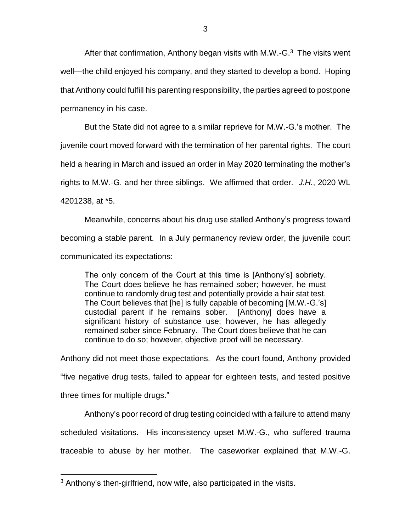After that confirmation, Anthony began visits with M.W.-G. $3$  The visits went well—the child enjoyed his company, and they started to develop a bond. Hoping that Anthony could fulfill his parenting responsibility, the parties agreed to postpone permanency in his case.

But the State did not agree to a similar reprieve for M.W.-G.'s mother. The juvenile court moved forward with the termination of her parental rights. The court held a hearing in March and issued an order in May 2020 terminating the mother's rights to M.W.-G. and her three siblings. We affirmed that order. *J.H.*, 2020 WL 4201238, at \*5.

Meanwhile, concerns about his drug use stalled Anthony's progress toward becoming a stable parent. In a July permanency review order, the juvenile court communicated its expectations:

The only concern of the Court at this time is [Anthony's] sobriety. The Court does believe he has remained sober; however, he must continue to randomly drug test and potentially provide a hair stat test. The Court believes that [he] is fully capable of becoming [M.W.-G.'s] custodial parent if he remains sober. [Anthony] does have a significant history of substance use; however, he has allegedly remained sober since February. The Court does believe that he can continue to do so; however, objective proof will be necessary.

Anthony did not meet those expectations. As the court found, Anthony provided "five negative drug tests, failed to appear for eighteen tests, and tested positive three times for multiple drugs."

Anthony's poor record of drug testing coincided with a failure to attend many scheduled visitations. His inconsistency upset M.W.-G., who suffered trauma traceable to abuse by her mother. The caseworker explained that M.W.-G.

 $\overline{a}$ 

<sup>3</sup> Anthony's then-girlfriend, now wife, also participated in the visits.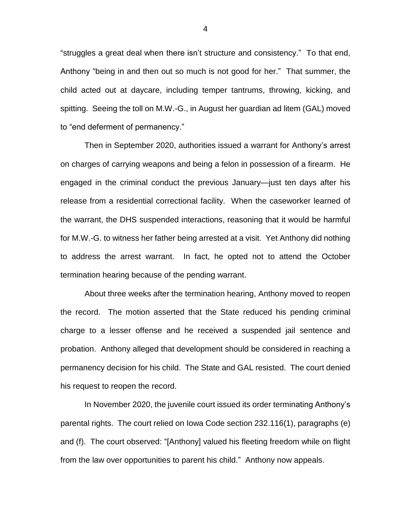"struggles a great deal when there isn't structure and consistency." To that end, Anthony "being in and then out so much is not good for her." That summer, the child acted out at daycare, including temper tantrums, throwing, kicking, and spitting. Seeing the toll on M.W.-G., in August her guardian ad litem (GAL) moved to "end deferment of permanency."

Then in September 2020, authorities issued a warrant for Anthony's arrest on charges of carrying weapons and being a felon in possession of a firearm. He engaged in the criminal conduct the previous January—just ten days after his release from a residential correctional facility. When the caseworker learned of the warrant, the DHS suspended interactions, reasoning that it would be harmful for M.W.-G. to witness her father being arrested at a visit. Yet Anthony did nothing to address the arrest warrant. In fact, he opted not to attend the October termination hearing because of the pending warrant.

About three weeks after the termination hearing, Anthony moved to reopen the record. The motion asserted that the State reduced his pending criminal charge to a lesser offense and he received a suspended jail sentence and probation. Anthony alleged that development should be considered in reaching a permanency decision for his child. The State and GAL resisted. The court denied his request to reopen the record.

In November 2020, the juvenile court issued its order terminating Anthony's parental rights. The court relied on Iowa Code section 232.116(1), paragraphs (e) and (f). The court observed: "[Anthony] valued his fleeting freedom while on flight from the law over opportunities to parent his child." Anthony now appeals.

4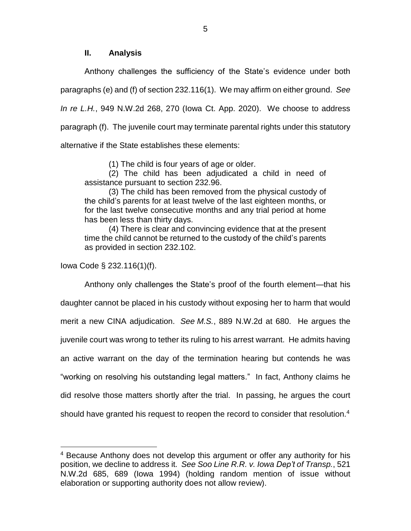### **II. Analysis**

Anthony challenges the sufficiency of the State's evidence under both paragraphs (e) and (f) of section 232.116(1). We may affirm on either ground. *See In re L.H.*, 949 N.W.2d 268, 270 (Iowa Ct. App. 2020). We choose to address paragraph (f). The juvenile court may terminate parental rights under this statutory alternative if the State establishes these elements:

(1) The child is four years of age or older.

(2) The child has been adjudicated a child in need of assistance pursuant to section 232.96.

(3) The child has been removed from the physical custody of the child's parents for at least twelve of the last eighteen months, or for the last twelve consecutive months and any trial period at home has been less than thirty days.

(4) There is clear and convincing evidence that at the present time the child cannot be returned to the custody of the child's parents as provided in section 232.102.

Iowa Code § 232.116(1)(f).

 $\overline{a}$ 

Anthony only challenges the State's proof of the fourth element—that his daughter cannot be placed in his custody without exposing her to harm that would merit a new CINA adjudication. *See M.S.*, 889 N.W.2d at 680. He argues the juvenile court was wrong to tether its ruling to his arrest warrant. He admits having an active warrant on the day of the termination hearing but contends he was "working on resolving his outstanding legal matters." In fact, Anthony claims he did resolve those matters shortly after the trial. In passing, he argues the court should have granted his request to reopen the record to consider that resolution.<sup>4</sup>

<sup>&</sup>lt;sup>4</sup> Because Anthony does not develop this argument or offer any authority for his position, we decline to address it. *See Soo Line R.R. v. Iowa Dep't of Transp.*, 521 N.W.2d 685, 689 (Iowa 1994) (holding random mention of issue without elaboration or supporting authority does not allow review).